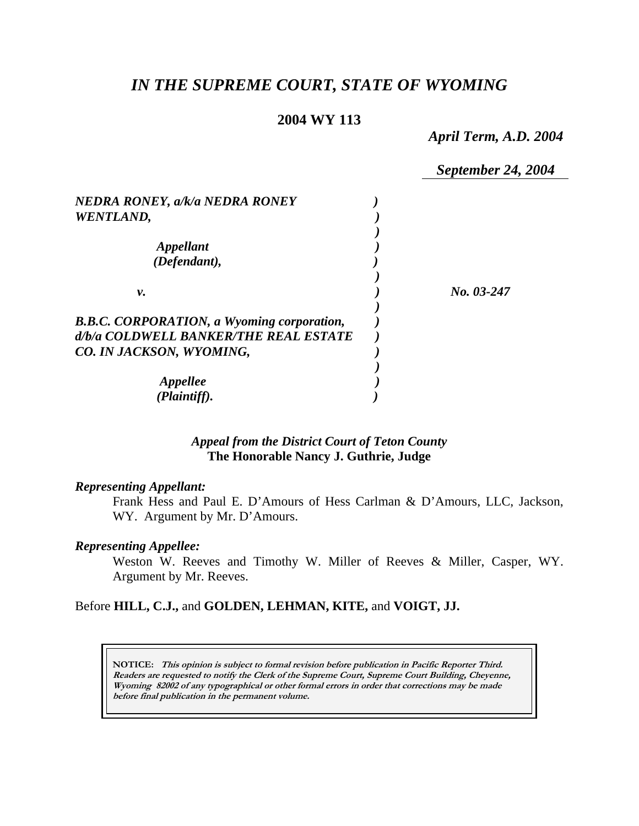# *IN THE SUPREME COURT, STATE OF WYOMING*

### **2004 WY 113**

*April Term, A.D. 2004* 

*September 24, 2004 NEDRA RONEY, a/k/a NEDRA RONEY ) WENTLAND, ) ) Appellant ) (Defendant), ) ) v. ) No. 03-247 ) B.B.C. CORPORATION, a Wyoming corporation, ) d/b/a COLDWELL BANKER/THE REAL ESTATE ) CO. IN JACKSON, WYOMING, ) ) Appellee ) (Plaintiff). )* 

# *Appeal from the District Court of Teton County* **The Honorable Nancy J. Guthrie, Judge**

#### *Representing Appellant:*

Frank Hess and Paul E. D'Amours of Hess Carlman & D'Amours, LLC, Jackson, WY. Argument by Mr. D'Amours.

# *Representing Appellee:*

Weston W. Reeves and Timothy W. Miller of Reeves & Miller, Casper, WY. Argument by Mr. Reeves.

Before **HILL, C.J.,** and **GOLDEN, LEHMAN, KITE,** and **VOIGT, JJ.** 

**NOTICE: This opinion is subject to formal revision before publication in Pacific Reporter Third. Readers are requested to notify the Clerk of the Supreme Court, Supreme Court Building, Cheyenne, Wyoming 82002 of any typographical or other formal errors in order that corrections may be made before final publication in the permanent volume.**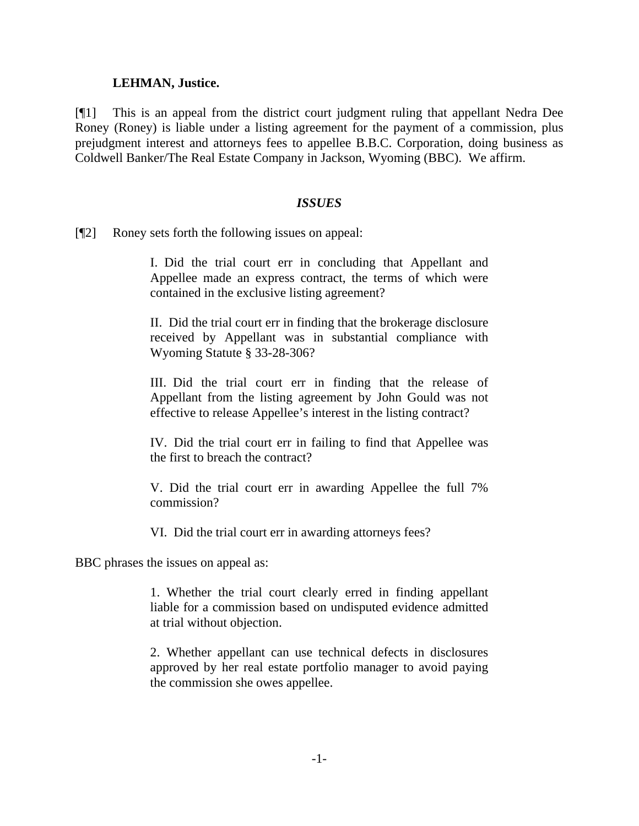### **LEHMAN, Justice.**

[¶1] This is an appeal from the district court judgment ruling that appellant Nedra Dee Roney (Roney) is liable under a listing agreement for the payment of a commission, plus prejudgment interest and attorneys fees to appellee B.B.C. Corporation, doing business as Coldwell Banker/The Real Estate Company in Jackson, Wyoming (BBC). We affirm.

### *ISSUES*

[¶2] Roney sets forth the following issues on appeal:

I. Did the trial court err in concluding that Appellant and Appellee made an express contract, the terms of which were contained in the exclusive listing agreement?

II. Did the trial court err in finding that the brokerage disclosure received by Appellant was in substantial compliance with Wyoming Statute § 33-28-306?

III. Did the trial court err in finding that the release of Appellant from the listing agreement by John Gould was not effective to release Appellee's interest in the listing contract?

IV. Did the trial court err in failing to find that Appellee was the first to breach the contract?

V. Did the trial court err in awarding Appellee the full 7% commission?

VI. Did the trial court err in awarding attorneys fees?

BBC phrases the issues on appeal as:

1. Whether the trial court clearly erred in finding appellant liable for a commission based on undisputed evidence admitted at trial without objection.

2. Whether appellant can use technical defects in disclosures approved by her real estate portfolio manager to avoid paying the commission she owes appellee.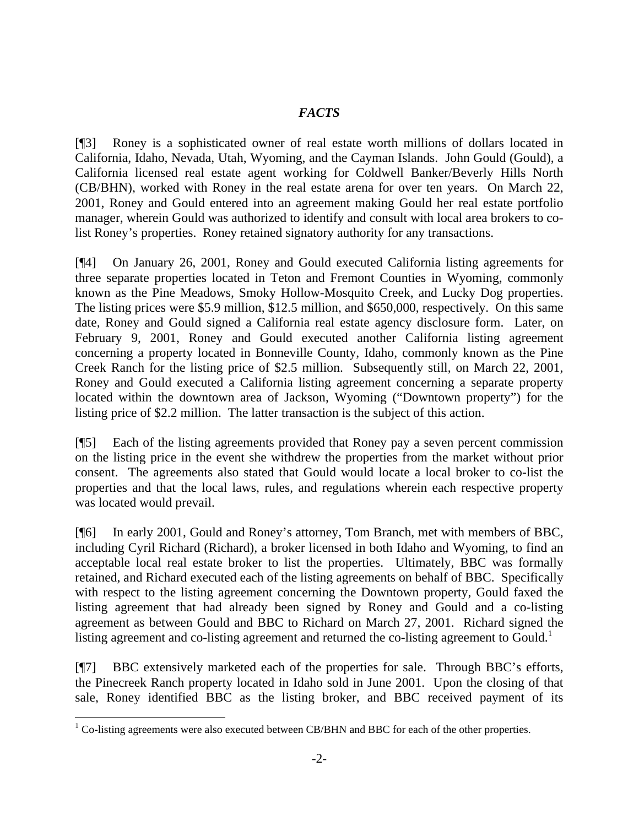# *FACTS*

[¶3] Roney is a sophisticated owner of real estate worth millions of dollars located in California, Idaho, Nevada, Utah, Wyoming, and the Cayman Islands. John Gould (Gould), a California licensed real estate agent working for Coldwell Banker/Beverly Hills North (CB/BHN), worked with Roney in the real estate arena for over ten years. On March 22, 2001, Roney and Gould entered into an agreement making Gould her real estate portfolio manager, wherein Gould was authorized to identify and consult with local area brokers to colist Roney's properties. Roney retained signatory authority for any transactions.

[¶4] On January 26, 2001, Roney and Gould executed California listing agreements for three separate properties located in Teton and Fremont Counties in Wyoming, commonly known as the Pine Meadows, Smoky Hollow-Mosquito Creek, and Lucky Dog properties. The listing prices were \$5.9 million, \$12.5 million, and \$650,000, respectively. On this same date, Roney and Gould signed a California real estate agency disclosure form. Later, on February 9, 2001, Roney and Gould executed another California listing agreement concerning a property located in Bonneville County, Idaho, commonly known as the Pine Creek Ranch for the listing price of \$2.5 million. Subsequently still, on March 22, 2001, Roney and Gould executed a California listing agreement concerning a separate property located within the downtown area of Jackson, Wyoming ("Downtown property") for the listing price of \$2.2 million. The latter transaction is the subject of this action.

[¶5] Each of the listing agreements provided that Roney pay a seven percent commission on the listing price in the event she withdrew the properties from the market without prior consent. The agreements also stated that Gould would locate a local broker to co-list the properties and that the local laws, rules, and regulations wherein each respective property was located would prevail.

[¶6] In early 2001, Gould and Roney's attorney, Tom Branch, met with members of BBC, including Cyril Richard (Richard), a broker licensed in both Idaho and Wyoming, to find an acceptable local real estate broker to list the properties. Ultimately, BBC was formally retained, and Richard executed each of the listing agreements on behalf of BBC. Specifically with respect to the listing agreement concerning the Downtown property, Gould faxed the listing agreement that had already been signed by Roney and Gould and a co-listing agreement as between Gould and BBC to Richard on March 27, 2001. Richard signed the listing agreement and co-listing agreement and returned the co-listing agreement to Gould.<sup>1</sup>

[¶7] BBC extensively marketed each of the properties for sale. Through BBC's efforts, the Pinecreek Ranch property located in Idaho sold in June 2001. Upon the closing of that sale, Roney identified BBC as the listing broker, and BBC received payment of its

 $1$  Co-listing agreements were also executed between CB/BHN and BBC for each of the other properties.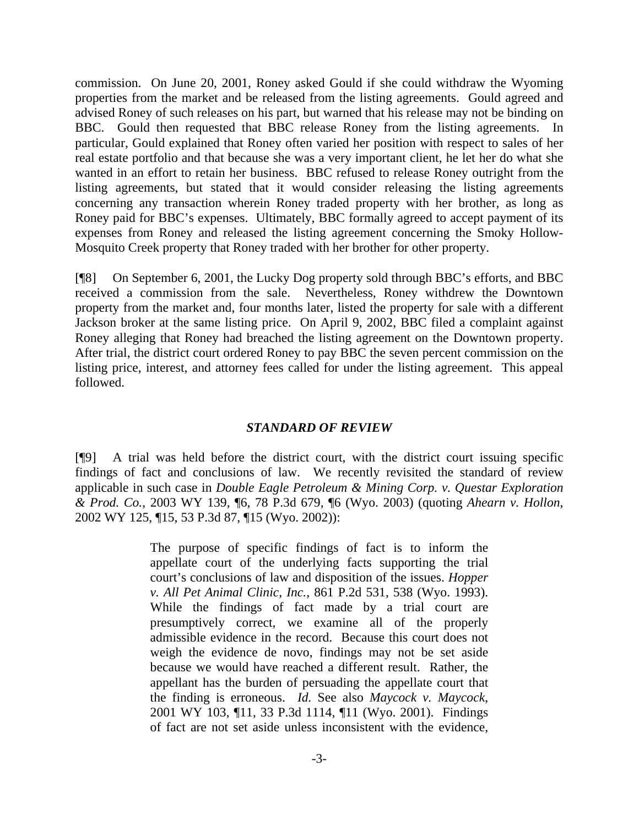commission. On June 20, 2001, Roney asked Gould if she could withdraw the Wyoming properties from the market and be released from the listing agreements. Gould agreed and advised Roney of such releases on his part, but warned that his release may not be binding on BBC. Gould then requested that BBC release Roney from the listing agreements. In particular, Gould explained that Roney often varied her position with respect to sales of her real estate portfolio and that because she was a very important client, he let her do what she wanted in an effort to retain her business. BBC refused to release Roney outright from the listing agreements, but stated that it would consider releasing the listing agreements concerning any transaction wherein Roney traded property with her brother, as long as Roney paid for BBC's expenses. Ultimately, BBC formally agreed to accept payment of its expenses from Roney and released the listing agreement concerning the Smoky Hollow-Mosquito Creek property that Roney traded with her brother for other property.

[¶8] On September 6, 2001, the Lucky Dog property sold through BBC's efforts, and BBC received a commission from the sale. Nevertheless, Roney withdrew the Downtown property from the market and, four months later, listed the property for sale with a different Jackson broker at the same listing price. On April 9, 2002, BBC filed a complaint against Roney alleging that Roney had breached the listing agreement on the Downtown property. After trial, the district court ordered Roney to pay BBC the seven percent commission on the listing price, interest, and attorney fees called for under the listing agreement. This appeal followed.

### *STANDARD OF REVIEW*

[¶9] A trial was held before the district court, with the district court issuing specific findings of fact and conclusions of law. We recently revisited the standard of review applicable in such case in *Double Eagle Petroleum & Mining Corp. v. Questar Exploration & Prod. Co.*, 2003 WY 139, ¶6, 78 P.3d 679, ¶6 (Wyo. 2003) (quoting *Ahearn v. Hollon*, 2002 WY 125, ¶15, 53 P.3d 87, ¶15 (Wyo. 2002)):

> The purpose of specific findings of fact is to inform the appellate court of the underlying facts supporting the trial court's conclusions of law and disposition of the issues. *Hopper v. All Pet Animal Clinic, Inc.*, 861 P.2d 531, 538 (Wyo. 1993). While the findings of fact made by a trial court are presumptively correct, we examine all of the properly admissible evidence in the record. Because this court does not weigh the evidence de novo, findings may not be set aside because we would have reached a different result. Rather, the appellant has the burden of persuading the appellate court that the finding is erroneous. *Id.* See also *Maycock v. Maycock*, 2001 WY 103, ¶11, 33 P.3d 1114, ¶11 (Wyo. 2001). Findings of fact are not set aside unless inconsistent with the evidence,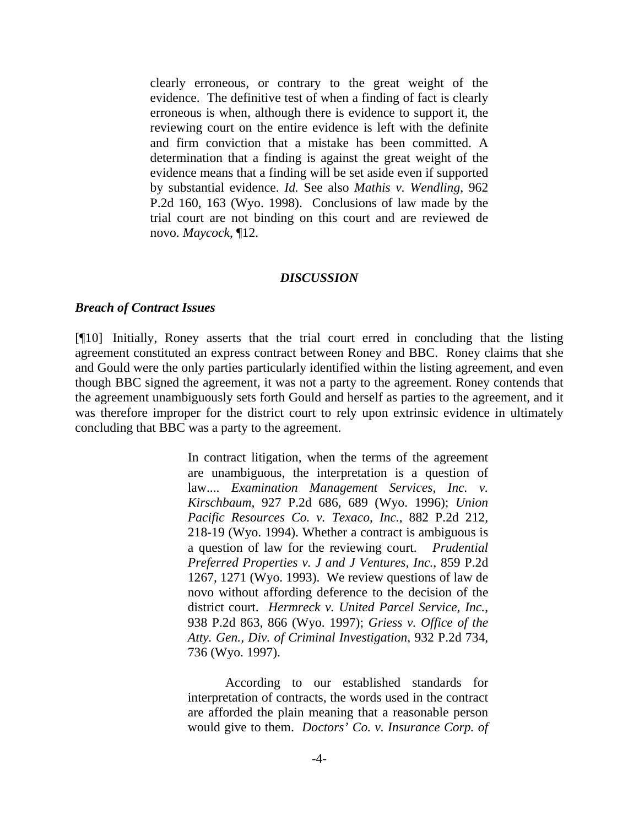clearly erroneous, or contrary to the great weight of the evidence. The definitive test of when a finding of fact is clearly erroneous is when, although there is evidence to support it, the reviewing court on the entire evidence is left with the definite and firm conviction that a mistake has been committed. A determination that a finding is against the great weight of the evidence means that a finding will be set aside even if supported by substantial evidence. *Id.* See also *Mathis v. Wendling*, 962 P.2d 160, 163 (Wyo. 1998). Conclusions of law made by the trial court are not binding on this court and are reviewed de novo. *Maycock*, ¶12.

#### *DISCUSSION*

#### *Breach of Contract Issues*

[¶10] Initially, Roney asserts that the trial court erred in concluding that the listing agreement constituted an express contract between Roney and BBC. Roney claims that she and Gould were the only parties particularly identified within the listing agreement, and even though BBC signed the agreement, it was not a party to the agreement. Roney contends that the agreement unambiguously sets forth Gould and herself as parties to the agreement, and it was therefore improper for the district court to rely upon extrinsic evidence in ultimately concluding that BBC was a party to the agreement.

> In contract litigation, when the terms of the agreement are unambiguous, the interpretation is a question of law.... *Examination Management Services, Inc. v. Kirschbaum*, 927 P.2d 686, 689 (Wyo. 1996); *Union Pacific Resources Co. v. Texaco, Inc.*, 882 P.2d 212, 218-19 (Wyo. 1994). Whether a contract is ambiguous is a question of law for the reviewing court. *Prudential Preferred Properties v. J and J Ventures, Inc.*, 859 P.2d 1267, 1271 (Wyo. 1993). We review questions of law de novo without affording deference to the decision of the district court. *Hermreck v. United Parcel Service, Inc.*, 938 P.2d 863, 866 (Wyo. 1997); *Griess v. Office of the Atty. Gen., Div. of Criminal Investigation*, 932 P.2d 734, 736 (Wyo. 1997).

> According to our established standards for interpretation of contracts, the words used in the contract are afforded the plain meaning that a reasonable person would give to them. *Doctors' Co. v. Insurance Corp. of*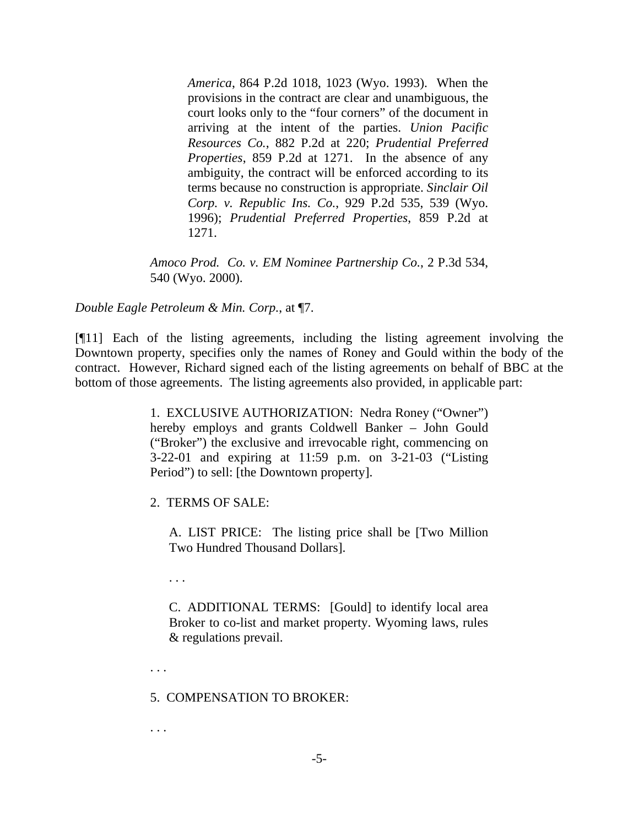*America*, 864 P.2d 1018, 1023 (Wyo. 1993). When the provisions in the contract are clear and unambiguous, the court looks only to the "four corners" of the document in arriving at the intent of the parties. *Union Pacific Resources Co.*, 882 P.2d at 220; *Prudential Preferred Properties*, 859 P.2d at 1271. In the absence of any ambiguity, the contract will be enforced according to its terms because no construction is appropriate. *Sinclair Oil Corp. v. Republic Ins. Co.*, 929 P.2d 535, 539 (Wyo. 1996); *Prudential Preferred Properties*, 859 P.2d at 1271.

*Amoco Prod. Co. v. EM Nominee Partnership Co.*, 2 P.3d 534, 540 (Wyo. 2000).

*Double Eagle Petroleum & Min. Corp.*, at ¶7.

[¶11] Each of the listing agreements, including the listing agreement involving the Downtown property, specifies only the names of Roney and Gould within the body of the contract. However, Richard signed each of the listing agreements on behalf of BBC at the bottom of those agreements. The listing agreements also provided, in applicable part:

> 1. EXCLUSIVE AUTHORIZATION: Nedra Roney ("Owner") hereby employs and grants Coldwell Banker – John Gould ("Broker") the exclusive and irrevocable right, commencing on 3-22-01 and expiring at 11:59 p.m. on 3-21-03 ("Listing Period") to sell: [the Downtown property].

2. TERMS OF SALE:

A. LIST PRICE: The listing price shall be [Two Million Two Hundred Thousand Dollars].

. . .

C. ADDITIONAL TERMS: [Gould] to identify local area Broker to co-list and market property. Wyoming laws, rules & regulations prevail.

. . .

5. COMPENSATION TO BROKER:

. . .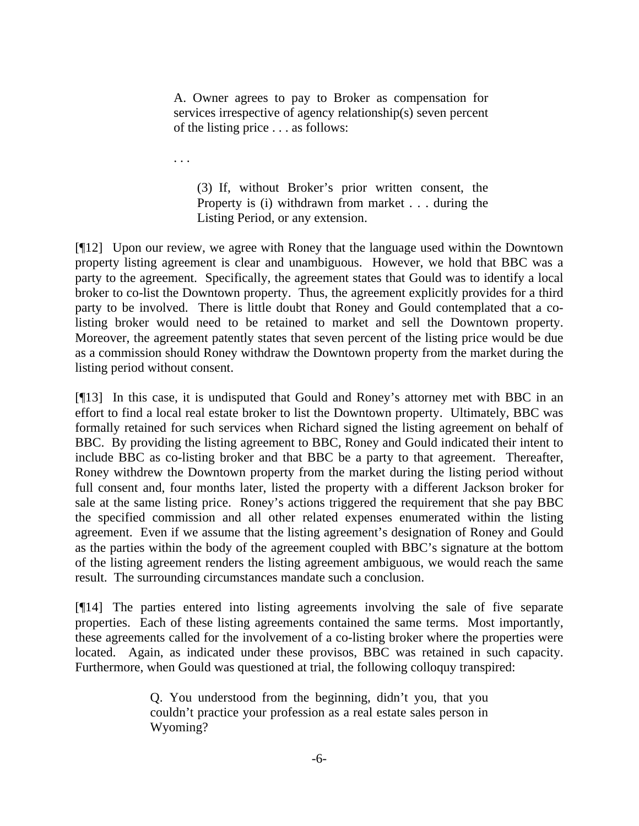A. Owner agrees to pay to Broker as compensation for services irrespective of agency relationship(s) seven percent of the listing price . . . as follows:

. . .

(3) If, without Broker's prior written consent, the Property is (i) withdrawn from market . . . during the Listing Period, or any extension.

[¶12] Upon our review, we agree with Roney that the language used within the Downtown property listing agreement is clear and unambiguous. However, we hold that BBC was a party to the agreement. Specifically, the agreement states that Gould was to identify a local broker to co-list the Downtown property. Thus, the agreement explicitly provides for a third party to be involved. There is little doubt that Roney and Gould contemplated that a colisting broker would need to be retained to market and sell the Downtown property. Moreover, the agreement patently states that seven percent of the listing price would be due as a commission should Roney withdraw the Downtown property from the market during the listing period without consent.

[¶13] In this case, it is undisputed that Gould and Roney's attorney met with BBC in an effort to find a local real estate broker to list the Downtown property. Ultimately, BBC was formally retained for such services when Richard signed the listing agreement on behalf of BBC. By providing the listing agreement to BBC, Roney and Gould indicated their intent to include BBC as co-listing broker and that BBC be a party to that agreement. Thereafter, Roney withdrew the Downtown property from the market during the listing period without full consent and, four months later, listed the property with a different Jackson broker for sale at the same listing price. Roney's actions triggered the requirement that she pay BBC the specified commission and all other related expenses enumerated within the listing agreement. Even if we assume that the listing agreement's designation of Roney and Gould as the parties within the body of the agreement coupled with BBC's signature at the bottom of the listing agreement renders the listing agreement ambiguous, we would reach the same result. The surrounding circumstances mandate such a conclusion.

[¶14] The parties entered into listing agreements involving the sale of five separate properties. Each of these listing agreements contained the same terms. Most importantly, these agreements called for the involvement of a co-listing broker where the properties were located. Again, as indicated under these provisos, BBC was retained in such capacity. Furthermore, when Gould was questioned at trial, the following colloquy transpired:

> Q. You understood from the beginning, didn't you, that you couldn't practice your profession as a real estate sales person in Wyoming?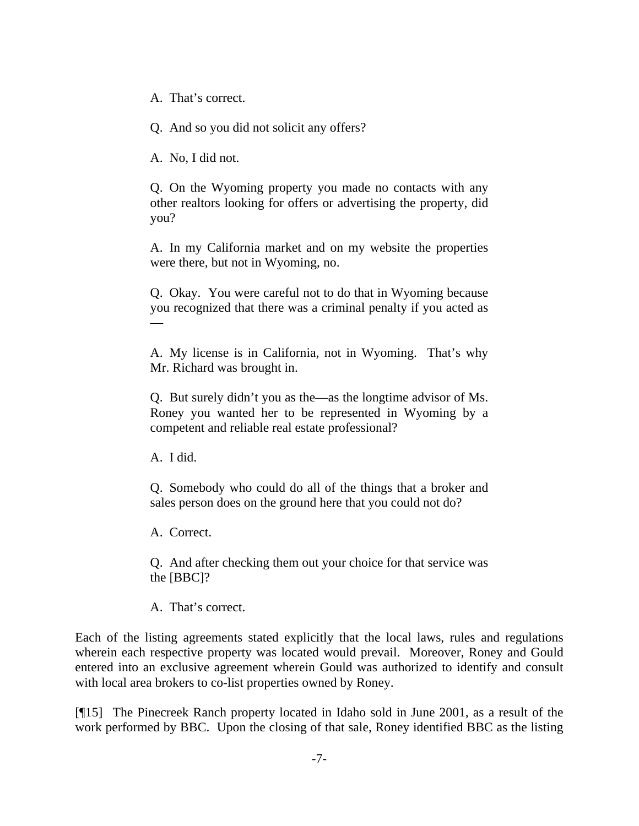A. That's correct.

Q. And so you did not solicit any offers?

A. No, I did not.

Q. On the Wyoming property you made no contacts with any other realtors looking for offers or advertising the property, did you?

A. In my California market and on my website the properties were there, but not in Wyoming, no.

Q. Okay. You were careful not to do that in Wyoming because you recognized that there was a criminal penalty if you acted as —

A. My license is in California, not in Wyoming. That's why Mr. Richard was brought in.

Q. But surely didn't you as the—as the longtime advisor of Ms. Roney you wanted her to be represented in Wyoming by a competent and reliable real estate professional?

A. I did.

Q. Somebody who could do all of the things that a broker and sales person does on the ground here that you could not do?

A. Correct.

Q. And after checking them out your choice for that service was the [BBC]?

A. That's correct.

Each of the listing agreements stated explicitly that the local laws, rules and regulations wherein each respective property was located would prevail. Moreover, Roney and Gould entered into an exclusive agreement wherein Gould was authorized to identify and consult with local area brokers to co-list properties owned by Roney.

[¶15] The Pinecreek Ranch property located in Idaho sold in June 2001, as a result of the work performed by BBC. Upon the closing of that sale, Roney identified BBC as the listing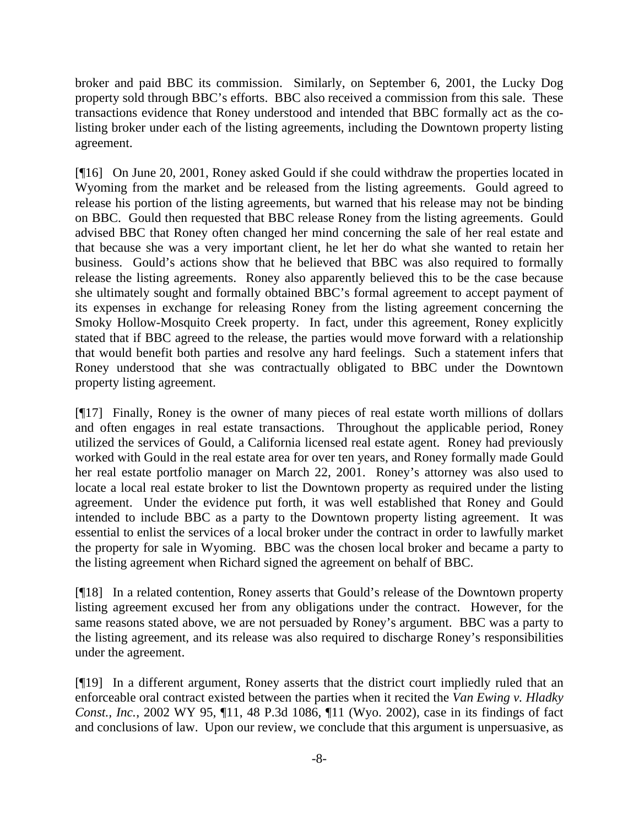broker and paid BBC its commission. Similarly, on September 6, 2001, the Lucky Dog property sold through BBC's efforts. BBC also received a commission from this sale. These transactions evidence that Roney understood and intended that BBC formally act as the colisting broker under each of the listing agreements, including the Downtown property listing agreement.

[¶16] On June 20, 2001, Roney asked Gould if she could withdraw the properties located in Wyoming from the market and be released from the listing agreements. Gould agreed to release his portion of the listing agreements, but warned that his release may not be binding on BBC. Gould then requested that BBC release Roney from the listing agreements. Gould advised BBC that Roney often changed her mind concerning the sale of her real estate and that because she was a very important client, he let her do what she wanted to retain her business. Gould's actions show that he believed that BBC was also required to formally release the listing agreements. Roney also apparently believed this to be the case because she ultimately sought and formally obtained BBC's formal agreement to accept payment of its expenses in exchange for releasing Roney from the listing agreement concerning the Smoky Hollow-Mosquito Creek property. In fact, under this agreement, Roney explicitly stated that if BBC agreed to the release, the parties would move forward with a relationship that would benefit both parties and resolve any hard feelings. Such a statement infers that Roney understood that she was contractually obligated to BBC under the Downtown property listing agreement.

[¶17] Finally, Roney is the owner of many pieces of real estate worth millions of dollars and often engages in real estate transactions. Throughout the applicable period, Roney utilized the services of Gould, a California licensed real estate agent. Roney had previously worked with Gould in the real estate area for over ten years, and Roney formally made Gould her real estate portfolio manager on March 22, 2001. Roney's attorney was also used to locate a local real estate broker to list the Downtown property as required under the listing agreement. Under the evidence put forth, it was well established that Roney and Gould intended to include BBC as a party to the Downtown property listing agreement. It was essential to enlist the services of a local broker under the contract in order to lawfully market the property for sale in Wyoming. BBC was the chosen local broker and became a party to the listing agreement when Richard signed the agreement on behalf of BBC.

[¶18] In a related contention, Roney asserts that Gould's release of the Downtown property listing agreement excused her from any obligations under the contract. However, for the same reasons stated above, we are not persuaded by Roney's argument. BBC was a party to the listing agreement, and its release was also required to discharge Roney's responsibilities under the agreement.

[¶19] In a different argument, Roney asserts that the district court impliedly ruled that an enforceable oral contract existed between the parties when it recited the *Van Ewing v. Hladky Const., Inc.*, 2002 WY 95, ¶11, 48 P.3d 1086, ¶11 (Wyo. 2002), case in its findings of fact and conclusions of law. Upon our review, we conclude that this argument is unpersuasive, as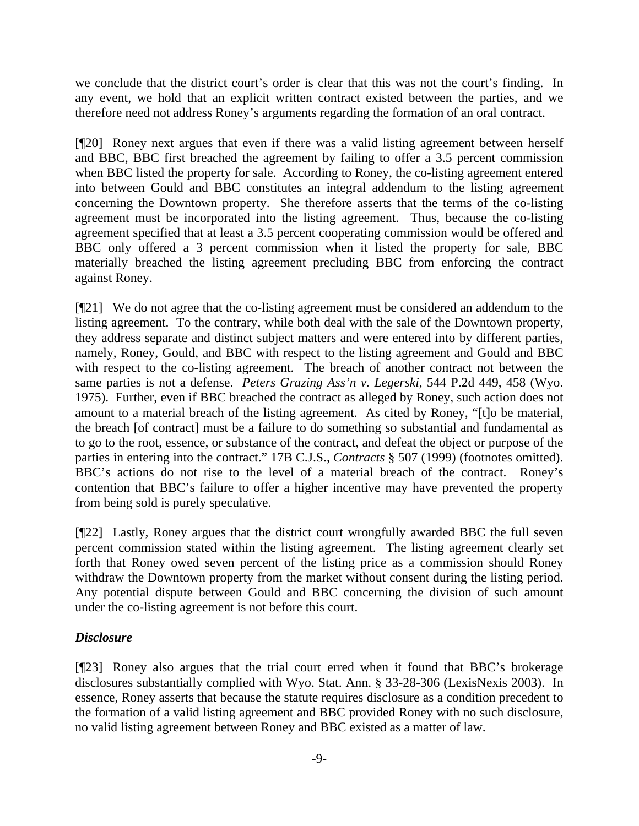we conclude that the district court's order is clear that this was not the court's finding. In any event, we hold that an explicit written contract existed between the parties, and we therefore need not address Roney's arguments regarding the formation of an oral contract.

[¶20] Roney next argues that even if there was a valid listing agreement between herself and BBC, BBC first breached the agreement by failing to offer a 3.5 percent commission when BBC listed the property for sale. According to Roney, the co-listing agreement entered into between Gould and BBC constitutes an integral addendum to the listing agreement concerning the Downtown property. She therefore asserts that the terms of the co-listing agreement must be incorporated into the listing agreement. Thus, because the co-listing agreement specified that at least a 3.5 percent cooperating commission would be offered and BBC only offered a 3 percent commission when it listed the property for sale, BBC materially breached the listing agreement precluding BBC from enforcing the contract against Roney.

[¶21] We do not agree that the co-listing agreement must be considered an addendum to the listing agreement. To the contrary, while both deal with the sale of the Downtown property, they address separate and distinct subject matters and were entered into by different parties, namely, Roney, Gould, and BBC with respect to the listing agreement and Gould and BBC with respect to the co-listing agreement. The breach of another contract not between the same parties is not a defense. *Peters Grazing Ass'n v. Legerski*, 544 P.2d 449, 458 (Wyo. 1975). Further, even if BBC breached the contract as alleged by Roney, such action does not amount to a material breach of the listing agreement. As cited by Roney, "[t]o be material, the breach [of contract] must be a failure to do something so substantial and fundamental as to go to the root, essence, or substance of the contract, and defeat the object or purpose of the parties in entering into the contract." 17B C.J.S., *Contracts* § 507 (1999) (footnotes omitted). BBC's actions do not rise to the level of a material breach of the contract. Roney's contention that BBC's failure to offer a higher incentive may have prevented the property from being sold is purely speculative.

[¶22] Lastly, Roney argues that the district court wrongfully awarded BBC the full seven percent commission stated within the listing agreement. The listing agreement clearly set forth that Roney owed seven percent of the listing price as a commission should Roney withdraw the Downtown property from the market without consent during the listing period. Any potential dispute between Gould and BBC concerning the division of such amount under the co-listing agreement is not before this court.

# *Disclosure*

[¶23] Roney also argues that the trial court erred when it found that BBC's brokerage disclosures substantially complied with Wyo. Stat. Ann. § 33-28-306 (LexisNexis 2003). In essence, Roney asserts that because the statute requires disclosure as a condition precedent to the formation of a valid listing agreement and BBC provided Roney with no such disclosure, no valid listing agreement between Roney and BBC existed as a matter of law.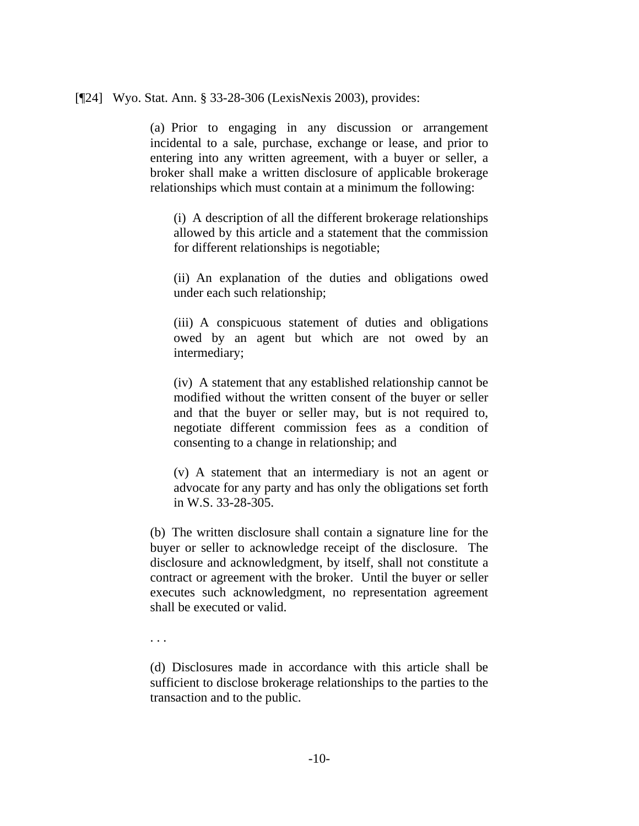#### [¶24] Wyo. Stat. Ann. § 33-28-306 (LexisNexis 2003), provides:

(a) Prior to engaging in any discussion or arrangement incidental to a sale, purchase, exchange or lease, and prior to entering into any written agreement, with a buyer or seller, a broker shall make a written disclosure of applicable brokerage relationships which must contain at a minimum the following:

(i) A description of all the different brokerage relationships allowed by this article and a statement that the commission for different relationships is negotiable;

(ii) An explanation of the duties and obligations owed under each such relationship;

(iii) A conspicuous statement of duties and obligations owed by an agent but which are not owed by an intermediary;

(iv) A statement that any established relationship cannot be modified without the written consent of the buyer or seller and that the buyer or seller may, but is not required to, negotiate different commission fees as a condition of consenting to a change in relationship; and

(v) A statement that an intermediary is not an agent or advocate for any party and has only the obligations set forth in W.S. 33-28-305.

(b) The written disclosure shall contain a signature line for the buyer or seller to acknowledge receipt of the disclosure. The disclosure and acknowledgment, by itself, shall not constitute a contract or agreement with the broker. Until the buyer or seller executes such acknowledgment, no representation agreement shall be executed or valid.

. . .

(d) Disclosures made in accordance with this article shall be sufficient to disclose brokerage relationships to the parties to the transaction and to the public.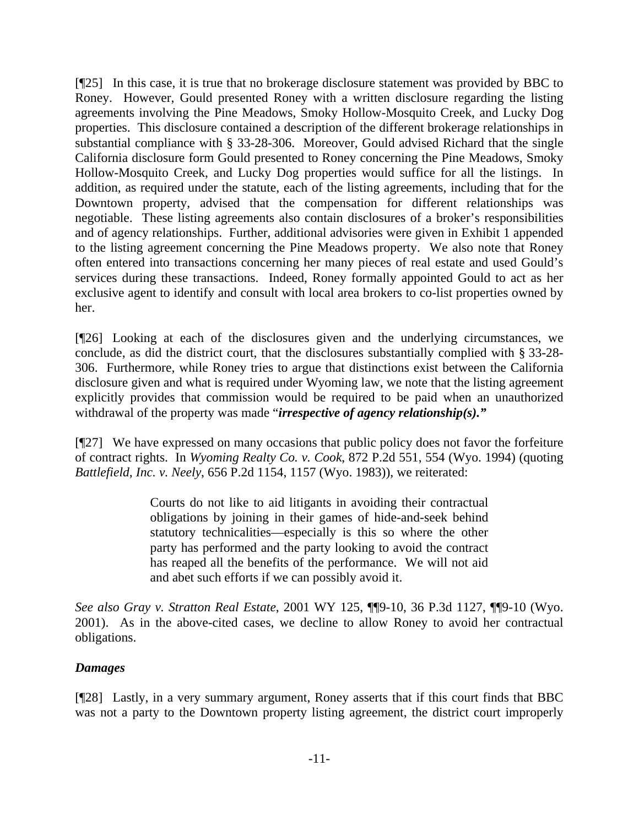[¶25] In this case, it is true that no brokerage disclosure statement was provided by BBC to Roney. However, Gould presented Roney with a written disclosure regarding the listing agreements involving the Pine Meadows, Smoky Hollow-Mosquito Creek, and Lucky Dog properties. This disclosure contained a description of the different brokerage relationships in substantial compliance with § 33-28-306. Moreover, Gould advised Richard that the single California disclosure form Gould presented to Roney concerning the Pine Meadows, Smoky Hollow-Mosquito Creek, and Lucky Dog properties would suffice for all the listings. In addition, as required under the statute, each of the listing agreements, including that for the Downtown property, advised that the compensation for different relationships was negotiable. These listing agreements also contain disclosures of a broker's responsibilities and of agency relationships. Further, additional advisories were given in Exhibit 1 appended to the listing agreement concerning the Pine Meadows property. We also note that Roney often entered into transactions concerning her many pieces of real estate and used Gould's services during these transactions. Indeed, Roney formally appointed Gould to act as her exclusive agent to identify and consult with local area brokers to co-list properties owned by her.

[¶26] Looking at each of the disclosures given and the underlying circumstances, we conclude, as did the district court, that the disclosures substantially complied with § 33-28- 306. Furthermore, while Roney tries to argue that distinctions exist between the California disclosure given and what is required under Wyoming law, we note that the listing agreement explicitly provides that commission would be required to be paid when an unauthorized withdrawal of the property was made "*irrespective of agency relationship(s)."*

[¶27] We have expressed on many occasions that public policy does not favor the forfeiture of contract rights. In *Wyoming Realty Co. v. Cook*, 872 P.2d 551, 554 (Wyo. 1994) (quoting *Battlefield, Inc. v. Neely*, 656 P.2d 1154, 1157 (Wyo. 1983)), we reiterated:

> Courts do not like to aid litigants in avoiding their contractual obligations by joining in their games of hide-and-seek behind statutory technicalities—especially is this so where the other party has performed and the party looking to avoid the contract has reaped all the benefits of the performance. We will not aid and abet such efforts if we can possibly avoid it.

*See also Gray v. Stratton Real Estate*, 2001 WY 125, ¶¶9-10, 36 P.3d 1127, ¶¶9-10 (Wyo. 2001). As in the above-cited cases, we decline to allow Roney to avoid her contractual obligations.

# *Damages*

[¶28] Lastly, in a very summary argument, Roney asserts that if this court finds that BBC was not a party to the Downtown property listing agreement, the district court improperly